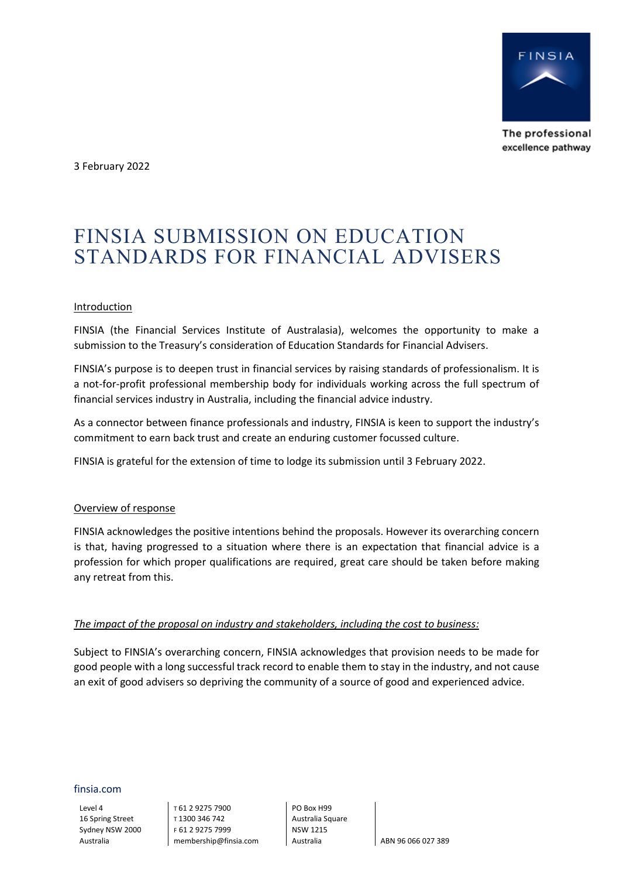

The professional excellence pathway

3 February 2022

# FINSIA SUBMISSION ON EDUCATION STANDARDS FOR FINANCIAL ADVISERS

## Introduction

FINSIA (the Financial Services Institute of Australasia), welcomes the opportunity to make a submission to the Treasury's consideration of Education Standards for Financial Advisers.

FINSIA's purpose is to deepen trust in financial services by raising standards of professionalism. It is a not-for-profit professional membership body for individuals working across the full spectrum of financial services industry in Australia, including the financial advice industry.

As a connector between finance professionals and industry, FINSIA is keen to support the industry's commitment to earn back trust and create an enduring customer focussed culture.

FINSIA is grateful for the extension of time to lodge its submission until 3 February 2022.

#### Overview of response

FINSIA acknowledges the positive intentions behind the proposals. However its overarching concern is that, having progressed to a situation where there is an expectation that financial advice is a profession for which proper qualifications are required, great care should be taken before making any retreat from this.

#### *The impact of the proposal on industry and stakeholders, including the cost to business:*

Subject to FINSIA's overarching concern, FINSIA acknowledges that provision needs to be made for good people with a long successful track record to enable them to stay in the industry, and not cause an exit of good advisers so depriving the community of a source of good and experienced advice.

finsia.com

Level 4 16 Spring Street Sydney NSW 2000 Australia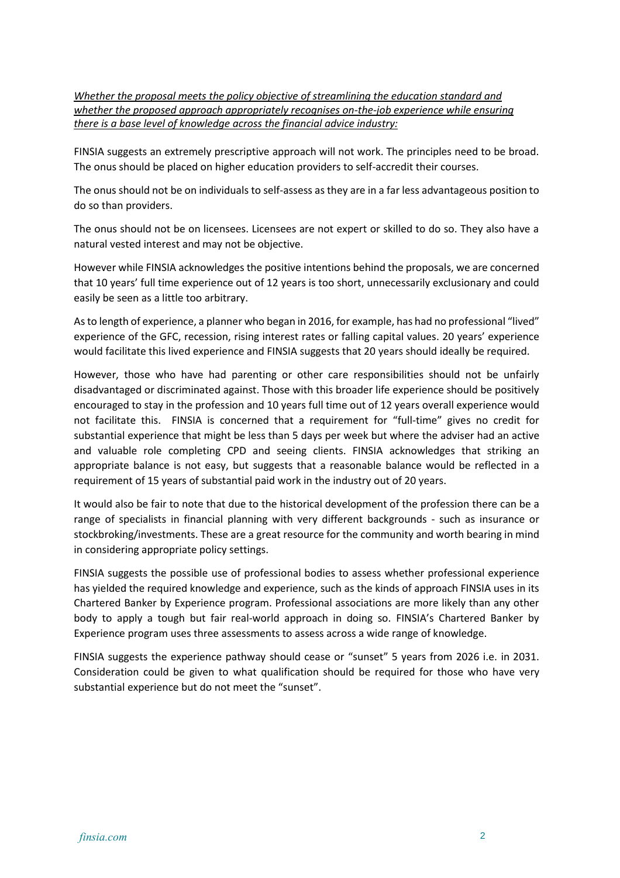*Whether the proposal meets the policy objective of streamlining the education standard and whether the proposed approach appropriately recognises on-the-job experience while ensuring there is a base level of knowledge across the financial advice industry:*

FINSIA suggests an extremely prescriptive approach will not work. The principles need to be broad. The onus should be placed on higher education providers to self-accredit their courses.

The onus should not be on individuals to self-assess as they are in a far less advantageous position to do so than providers.

The onus should not be on licensees. Licensees are not expert or skilled to do so. They also have a natural vested interest and may not be objective.

However while FINSIA acknowledges the positive intentions behind the proposals, we are concerned that 10 years' full time experience out of 12 years is too short, unnecessarily exclusionary and could easily be seen as a little too arbitrary.

As to length of experience, a planner who began in 2016, for example, has had no professional "lived" experience of the GFC, recession, rising interest rates or falling capital values. 20 years' experience would facilitate this lived experience and FINSIA suggests that 20 years should ideally be required.

However, those who have had parenting or other care responsibilities should not be unfairly disadvantaged or discriminated against. Those with this broader life experience should be positively encouraged to stay in the profession and 10 years full time out of 12 years overall experience would not facilitate this. FINSIA is concerned that a requirement for "full-time" gives no credit for substantial experience that might be less than 5 days per week but where the adviser had an active and valuable role completing CPD and seeing clients. FINSIA acknowledges that striking an appropriate balance is not easy, but suggests that a reasonable balance would be reflected in a requirement of 15 years of substantial paid work in the industry out of 20 years.

It would also be fair to note that due to the historical development of the profession there can be a range of specialists in financial planning with very different backgrounds - such as insurance or stockbroking/investments. These are a great resource for the community and worth bearing in mind in considering appropriate policy settings.

FINSIA suggests the possible use of professional bodies to assess whether professional experience has yielded the required knowledge and experience, such as the kinds of approach FINSIA uses in its Chartered Banker by Experience program. Professional associations are more likely than any other body to apply a tough but fair real-world approach in doing so. FINSIA's Chartered Banker by Experience program uses three assessments to assess across a wide range of knowledge.

FINSIA suggests the experience pathway should cease or "sunset" 5 years from 2026 i.e. in 2031. Consideration could be given to what qualification should be required for those who have very substantial experience but do not meet the "sunset".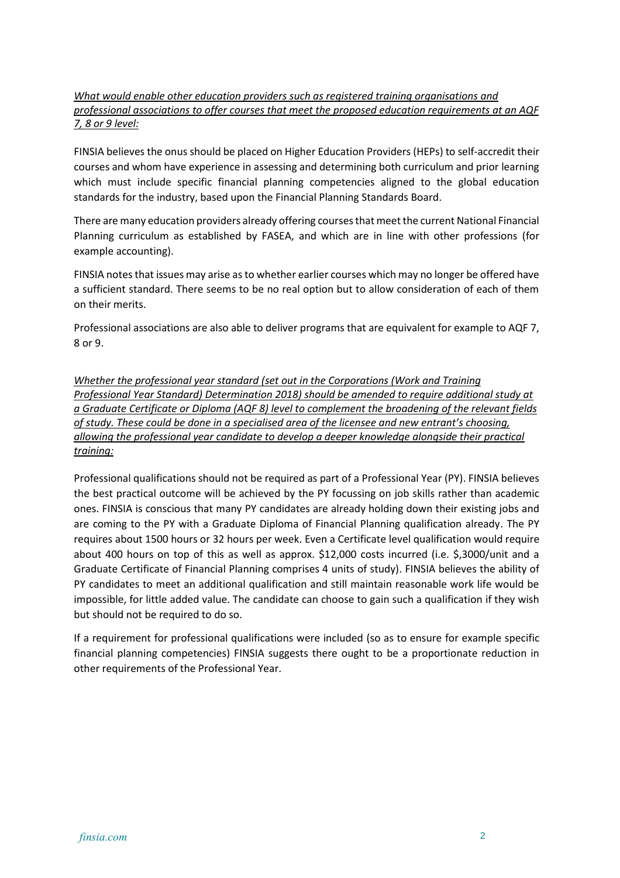# *What would enable other education providers such as registered training organisations and professional associations to offer courses that meet the proposed education requirements at an AQF 7, 8 or 9 level:*

FINSIA believes the onus should be placed on Higher Education Providers (HEPs) to self-accredit their courses and whom have experience in assessing and determining both curriculum and prior learning which must include specific financial planning competencies aligned to the global education standards for the industry, based upon the Financial Planning Standards Board.

There are many education providers already offering courses that meet the current National Financial Planning curriculum as established by FASEA, and which are in line with other professions (for example accounting).

FINSIA notes that issues may arise as to whether earlier courses which may no longer be offered have a sufficient standard. There seems to be no real option but to allow consideration of each of them on their merits.

Professional associations are also able to deliver programs that are equivalent for example to AQF 7, 8 or 9.

*Whether the professional year standard (set out in the Corporations (Work and Training Professional Year Standard) Determination 2018) should be amended to require additional study at a Graduate Certificate or Diploma (AQF 8) level to complement the broadening of the relevant fields of study. These could be done in a specialised area of the licensee and new entrant's choosing, allowing the professional year candidate to develop a deeper knowledge alongside their practical training:*

Professional qualifications should not be required as part of a Professional Year (PY). FINSIA believes the best practical outcome will be achieved by the PY focussing on job skills rather than academic ones. FINSIA is conscious that many PY candidates are already holding down their existing jobs and are coming to the PY with a Graduate Diploma of Financial Planning qualification already. The PY requires about 1500 hours or 32 hours per week. Even a Certificate level qualification would require about 400 hours on top of this as well as approx. \$12,000 costs incurred (i.e. \$,3000/unit and a Graduate Certificate of Financial Planning comprises 4 units of study). FINSIA believes the ability of PY candidates to meet an additional qualification and still maintain reasonable work life would be impossible, for little added value. The candidate can choose to gain such a qualification if they wish but should not be required to do so.

If a requirement for professional qualifications were included (so as to ensure for example specific financial planning competencies) FINSIA suggests there ought to be a proportionate reduction in other requirements of the Professional Year.